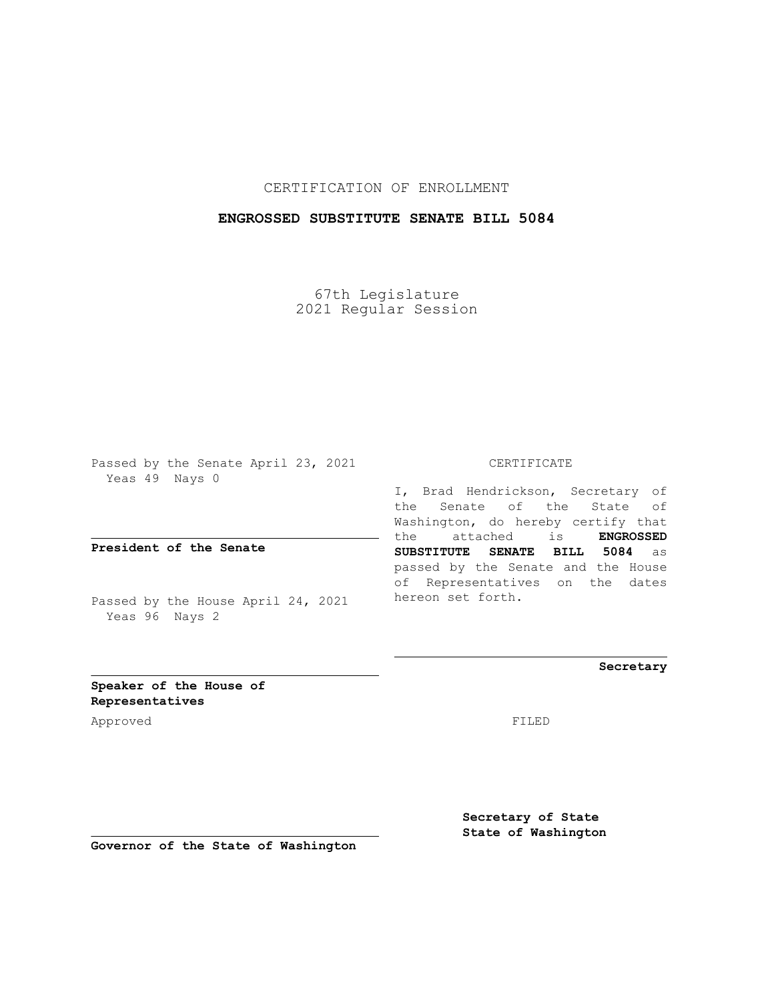## CERTIFICATION OF ENROLLMENT

## **ENGROSSED SUBSTITUTE SENATE BILL 5084**

67th Legislature 2021 Regular Session

Passed by the Senate April 23, 2021 Yeas 49 Nays 0

**President of the Senate**

Passed by the House April 24, 2021 Yeas 96 Nays 2

## CERTIFICATE

I, Brad Hendrickson, Secretary of the Senate of the State of Washington, do hereby certify that the attached is **ENGROSSED SUBSTITUTE SENATE BILL 5084** as passed by the Senate and the House of Representatives on the dates hereon set forth.

**Secretary**

**Speaker of the House of Representatives**

Approved FILED

**Secretary of State State of Washington**

**Governor of the State of Washington**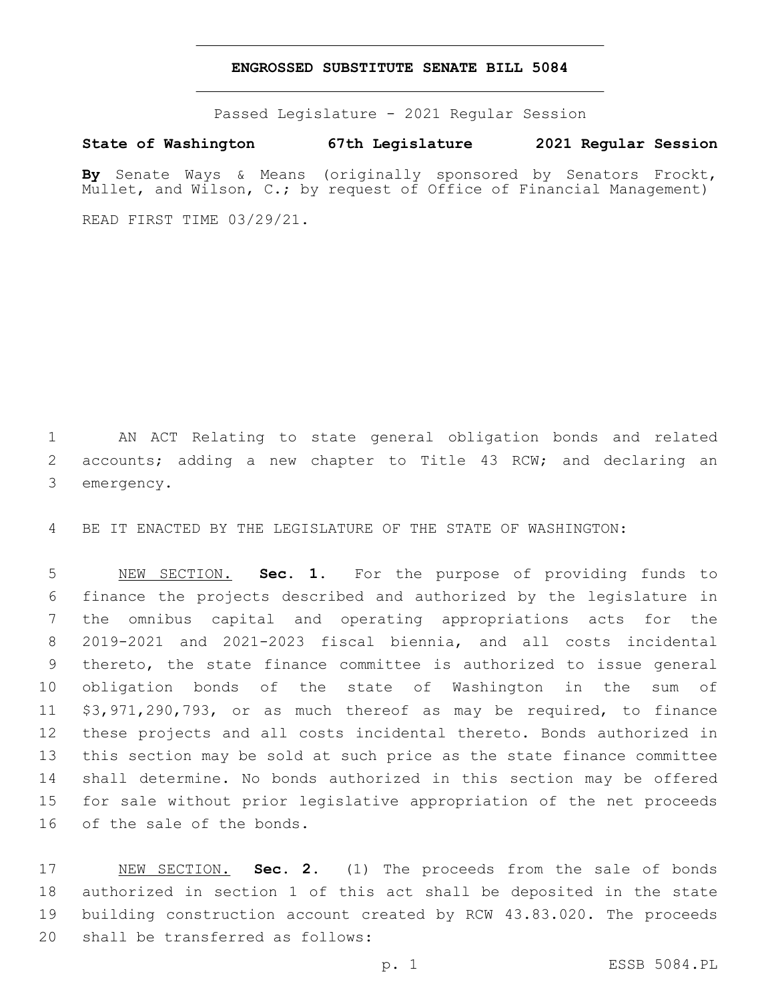## **ENGROSSED SUBSTITUTE SENATE BILL 5084**

Passed Legislature - 2021 Regular Session

**State of Washington 67th Legislature 2021 Regular Session**

**By** Senate Ways & Means (originally sponsored by Senators Frockt, Mullet, and Wilson, C.; by request of Office of Financial Management)

READ FIRST TIME 03/29/21.

 AN ACT Relating to state general obligation bonds and related accounts; adding a new chapter to Title 43 RCW; and declaring an 3 emergency.

BE IT ENACTED BY THE LEGISLATURE OF THE STATE OF WASHINGTON:

 NEW SECTION. **Sec. 1.** For the purpose of providing funds to finance the projects described and authorized by the legislature in the omnibus capital and operating appropriations acts for the 2019-2021 and 2021-2023 fiscal biennia, and all costs incidental thereto, the state finance committee is authorized to issue general obligation bonds of the state of Washington in the sum of \$3,971,290,793, or as much thereof as may be required, to finance these projects and all costs incidental thereto. Bonds authorized in this section may be sold at such price as the state finance committee shall determine. No bonds authorized in this section may be offered for sale without prior legislative appropriation of the net proceeds of the sale of the bonds.

 NEW SECTION. **Sec. 2.** (1) The proceeds from the sale of bonds authorized in section 1 of this act shall be deposited in the state building construction account created by RCW 43.83.020. The proceeds shall be transferred as follows: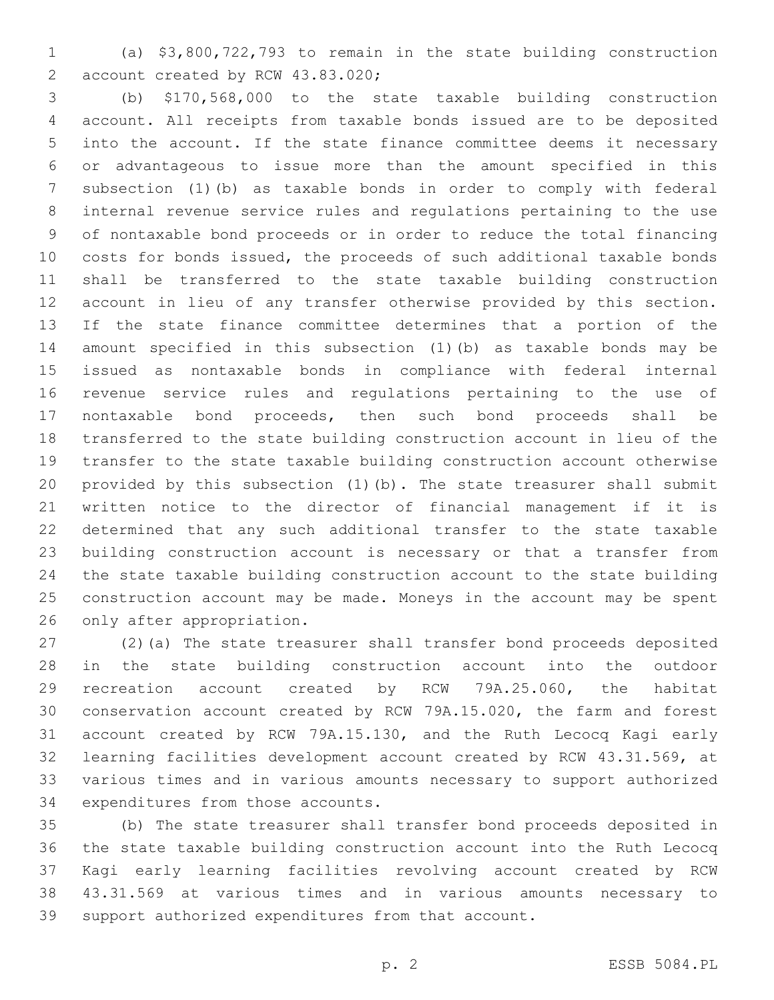(a) \$3,800,722,793 to remain in the state building construction 2 account created by RCW 43.83.020;

 (b) \$170,568,000 to the state taxable building construction account. All receipts from taxable bonds issued are to be deposited into the account. If the state finance committee deems it necessary or advantageous to issue more than the amount specified in this subsection (1)(b) as taxable bonds in order to comply with federal internal revenue service rules and regulations pertaining to the use of nontaxable bond proceeds or in order to reduce the total financing costs for bonds issued, the proceeds of such additional taxable bonds shall be transferred to the state taxable building construction account in lieu of any transfer otherwise provided by this section. If the state finance committee determines that a portion of the amount specified in this subsection (1)(b) as taxable bonds may be issued as nontaxable bonds in compliance with federal internal revenue service rules and regulations pertaining to the use of nontaxable bond proceeds, then such bond proceeds shall be transferred to the state building construction account in lieu of the transfer to the state taxable building construction account otherwise provided by this subsection (1)(b). The state treasurer shall submit written notice to the director of financial management if it is determined that any such additional transfer to the state taxable building construction account is necessary or that a transfer from the state taxable building construction account to the state building construction account may be made. Moneys in the account may be spent 26 only after appropriation.

 (2)(a) The state treasurer shall transfer bond proceeds deposited in the state building construction account into the outdoor recreation account created by RCW 79A.25.060, the habitat conservation account created by RCW 79A.15.020, the farm and forest account created by RCW 79A.15.130, and the Ruth Lecocq Kagi early learning facilities development account created by RCW 43.31.569, at various times and in various amounts necessary to support authorized 34 expenditures from those accounts.

 (b) The state treasurer shall transfer bond proceeds deposited in the state taxable building construction account into the Ruth Lecocq Kagi early learning facilities revolving account created by RCW 43.31.569 at various times and in various amounts necessary to support authorized expenditures from that account.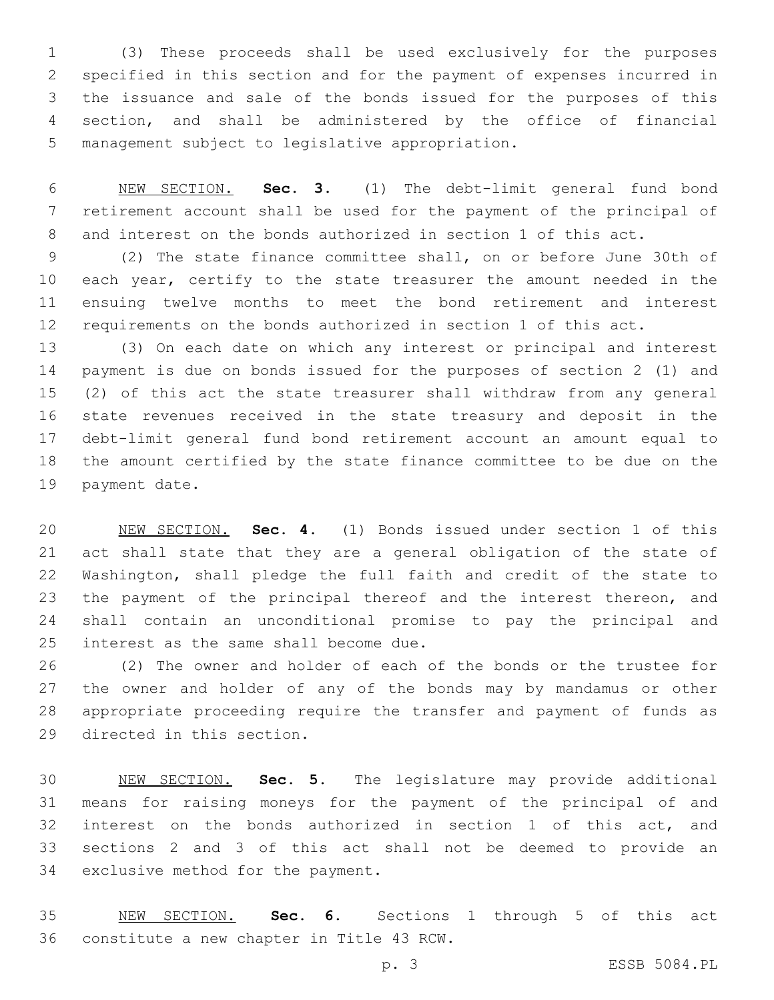(3) These proceeds shall be used exclusively for the purposes specified in this section and for the payment of expenses incurred in the issuance and sale of the bonds issued for the purposes of this section, and shall be administered by the office of financial 5 management subject to legislative appropriation.

 NEW SECTION. **Sec. 3.** (1) The debt-limit general fund bond retirement account shall be used for the payment of the principal of and interest on the bonds authorized in section 1 of this act.

 (2) The state finance committee shall, on or before June 30th of 10 each year, certify to the state treasurer the amount needed in the ensuing twelve months to meet the bond retirement and interest requirements on the bonds authorized in section 1 of this act.

 (3) On each date on which any interest or principal and interest payment is due on bonds issued for the purposes of section 2 (1) and (2) of this act the state treasurer shall withdraw from any general state revenues received in the state treasury and deposit in the debt-limit general fund bond retirement account an amount equal to the amount certified by the state finance committee to be due on the 19 payment date.

 NEW SECTION. **Sec. 4.** (1) Bonds issued under section 1 of this act shall state that they are a general obligation of the state of Washington, shall pledge the full faith and credit of the state to 23 the payment of the principal thereof and the interest thereon, and shall contain an unconditional promise to pay the principal and interest as the same shall become due.

 (2) The owner and holder of each of the bonds or the trustee for the owner and holder of any of the bonds may by mandamus or other appropriate proceeding require the transfer and payment of funds as 29 directed in this section.

 NEW SECTION. **Sec. 5.** The legislature may provide additional means for raising moneys for the payment of the principal of and interest on the bonds authorized in section 1 of this act, and sections 2 and 3 of this act shall not be deemed to provide an exclusive method for the payment.

 NEW SECTION. **Sec. 6.** Sections 1 through 5 of this act constitute a new chapter in Title 43 RCW.